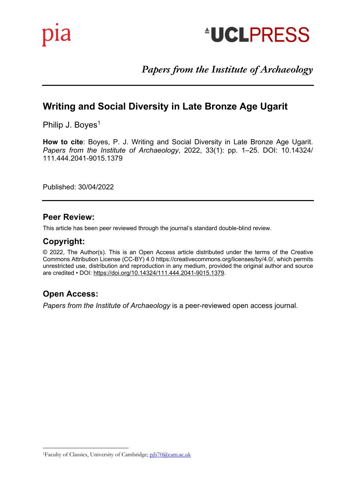

# *Papers from the Institute of Archaeology*

# **Writing and Social Diversity in Late Bronze Age Ugarit**

Philip J. Boyes<sup>1</sup>

How to cite: Boyes, P. J. Writing and Social Diversity in Late Bronze Age Ugarit.<br>*Papers from the Institute of Archaeology*, 2022, 33(1): pp. 1–25. DOI: 10.14324/<br>111.444.2044.0045.1370 **How to cite**: Boyes, P. J. Writing and Social Diversity in Late Bronze Age Ugarit. 111.444.2041-9015.1379

Published: 30/04/2022

### **Peer Review:**

This article has been peer reviewed through the journal's standard double-blind review.

Andrew Gardner and Rodney Harrison

#### This short represents the closing comments the forum comments the forum covering Brexit, and the forum covering Brexit, and the forum covering Brexit, and the forum covering Brexit, and the forum covering Brexit, and the f **Copyright:**

© 2022, The Author(s). This is an Open Access article distributed under the terms of the Creative<br>Comments Attribution Lineage. (CG B)() 4.0 bttps://weative.commence.com/lineage./bu/4.0/ which parmits Commons Attribution License (CC-BY) 4.0 https://creativecommons.org/licenses/by/4.0/, which permits unrestricted use, distribution and reproduction in any medium, provided the original author and source are credited • DOI: https://doi.org/10.14324/111.444.2041-9015.1379.

# **Keywords:** Brexit; Brexit; EU; Post-Truth, EU; Post-Truth, EU; Post-Truth, EU; Post-Truth, EU; Post-Truth, EU; Post-Truth, EU; Post-Truth, EU; Post-Truth, EU; Post-Truth, EU; Post-Truth, EU; Post-Truth, EU; Post-Truth, EU

*Papers from the Institute of Archaeology* is a peer-reviewed open access journal.

<sup>1</sup>Faculty of Classics, University of Cambridge; pjb70@cam.ac.uk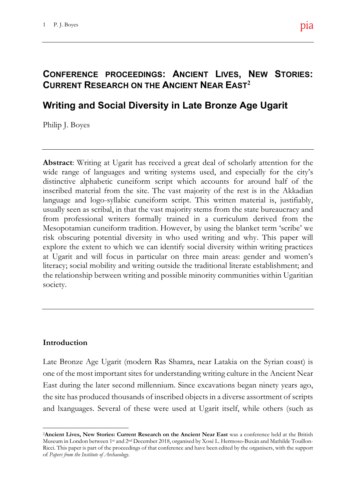#### Brexit, Archaeology and Heritage: **CONFERENCE PROCEEDINGS: ANCIENT LIVES, NEW STORIES: CURRENT RESEARCH ON THE ANCIENT NEAR EAST<sup>2</sup>**

# **Writing and Social Diversity in Late Bronze Age Ugarit**

Philip J. Boyes

Abstract: Writing at Ugarit has received a great deal of scholarly attention for the wide range of languages and writing systems used, and especially for the city's  $\frac{1}{\sqrt{2}}$ distinctive alphabetic cuneiform script which accounts for around half of the tionship to archaeology and heritage. These inscribed material from the site. The vast majority of the rest is in the Akkadian language and logo-syllabic cuneiform script. This written material is, justifiably,  $\frac{1}{\sqrt{2}}$ usually seen as scribal, in that the vast majority stems from the state bureaucracy and from professional writers formally trained in a curriculum derived from the  $\mathfrak{m}$  which we can only hope a positive a positive a positive a positive a positive a positive a positive a positive  $\mathfrak{m}$  . Mesopotamian cuneiform tradition. However, by using the blanket term 'scribe' we initial paper for this Forum in July of 2017, risk obscuring potential diversity in who used writing and why. This paper will explore the extent to which we can identify social diversity within writing practices cess of exiting the EU remarkably little has at Ugarit and will focus in particular on three main areas: gender and women's literacy; social mobility and writing outside the traditional literate establishment; and  $\alpha$ ild it reach the this problems that the should it reaches that the should it reaches that  $\alpha$ the relationship between writing and possible minority communities within Ugaritian society.

### **Introduction**

Late Bronze Age Ugarit (modern Ras Shamra, near Latakia on the Syrian coast) is one of the most important sites for understanding writing culture in the Ancient Near East during the later second millennium. Since excavations began ninety years ago, the site has produced thousands of inscribed objects in a diverse assortment of scripts and lxanguages. Several of these were used at Ugarit itself, while others (such as

<sup>&</sup>lt;sup>2</sup> Ancient Lives, New Stories: Current Research on the Ancient Near East was a conference held at the British Museum in London between 1st and 2nd December 2018, organised by Xosé L. Hermoso-Buxán and Mathilde Touillon-Ricci. This paper is part of the proceedings of that conference and have been edited by the organisers, with the support of *Papers from the Institute of Archaeology*.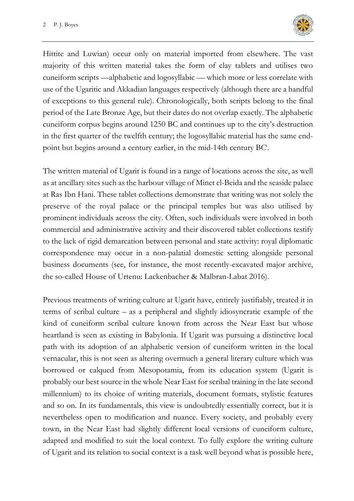

Hittite and Luwian) occur only on material imported from elsewhere. The vast majority of this written material takes the form of clay tablets and utilises two cuneiform scripts —alphabetic and logosyllabic — which more or less correlate with use of the Ugaritic and Akkadian languages respectively (although there are a handful of exceptions to this general rule). Chronologically, both scripts belong to the final period of the Late Bronze Age, but their dates do not overlap exactly. The alphabetic cuneiform corpus begins around 1250 BC and continues up to the city's destruction in the first quarter of the twelfth century; the logosyllabic material has the same endpoint but begins around a century earlier, in the mid-14th century BC<sup>i</sup>.

The written material of Ugarit is found in a range of locations across the site, as well as at ancillary sites such as the harbour village of Minet el-Beida and the seaside palace at Ras Ibn Hani. These tablet collections demonstrate that writing was not solely the preserve of the royal palace or the principal temples but was also utilised by prominent individuals across the city. Often, such individuals were involved in both commercial and administrative activity and their discovered tablet collections testify to the lack of rigid demarcation between personal and state activity: royal diplomatic correspondence may occur in a non-palatial domestic setting alongside personal business documents (see, for instance, the most recently-excavated major archive, the so-called House of Urtenu: Lackenbacher & Malbran-Labat 2016).

Previous treatments of writing culture at Ugarit have, entirely justifiably, treated it in terms of scribal culture – as a peripheral and slightly idiosyncratic example of the kind of cuneiform scribal culture known from across the Near East but whose heartland is seen as existing in Babylonia. If Ugarit was pursuing a distinctive local path with its adoption of an alphabetic version of cuneiform written in the local vernacular, this is not seen as altering overmuch a general literary culture which was borrowed or calqued from Mesopotamia, from its education system (Ugarit is probably our best source in the whole Near East for scribal training in the late second millennium) to its choice of writing materials, document formats, stylistic features and so on. In its fundamentals, this view is undoubtedly essentially correct, but it is nevertheless open to modification and nuance. Every society, and probably every town, in the Near East had slightly different local versions of cuneiform culture, adapted and modified to suit the local context. To fully explore the writing culture of Ugarit and its relation to social context is a task well beyond what is possible here,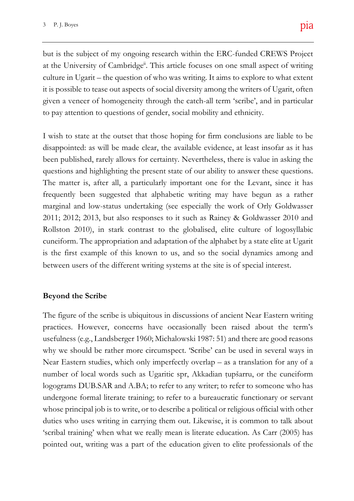at the University of Cambridge<sup>ii</sup>. This article focuses on one small aspect of writing  $\mathfrak{t}$  and  $\mathfrak{t}$  $\frac{1}{2}$ given a veneer of homogeneity through the catch-all term 'scribe', and in particular but is the subject of my ongoing research within the ERC-funded CREWS Project culture in Ugarit – the question of who was writing. It aims to explore to what extent it is possible to tease out aspects of social diversity among the writers of Ugarit, often to pay attention to questions of gender, social mobility and ethnicity.

**Closing Comment** questions and highlighting the present state of our ability to answer these questions. to our paper for their contributions to the The matter is, after all, a particularly important one for the Levant, since it has tionship to archaeology and heritage. These frequently been suggested that alphabetic writing may have begun as a rather  $\frac{1}{\sqrt{2}}$ marginal and low-status undertaking (see especially the work of Orly Goldwasser where  $\frac{1}{2}$  and  $\frac{1}{2}$  and  $\frac{1}{2}$  and  $\frac{1}{2}$  and  $\frac{1}{2}$  and  $\frac{1}{2}$  and  $\frac{1}{2}$ 2011; 2012; 2013, but also responses to it such as Rainey & Goldwasser 2010 and  $rac{1}{\sqrt{2}}$ Rollston 2010), in stark contrast to the globalised, elite culture of logosyllabic  $\sum_{i=1}^{n}$ cuneiform. The appropriation and adaptation of the alphabet by a state elite at Ugarit  $S<sub>2</sub>$ is the first example of this known to us, and so the social dynamics among and  $m_{\rm e}$ I wish to state at the outset that those hoping for firm conclusions are liable to be disappointed: as will be made clear, the available evidence, at least insofar as it has been published, rarely allows for certainty. Nevertheless, there is value in asking the between users of the different writing systems at the site is of special interest.

### **Beyond the Scribe**

Corresponding author: Andrew Gardner The figure of the scribe is ubiquitous in discussions of ancient Near Eastern writing practices. However, concerns have occasionally been raised about the term's usefulness (e.g., Landsberger 1960; Michalowski 1987: 51) and there are good reasons why we should be rather more circumspect. 'Scribe' can be used in several ways in Near Eastern studies, which only imperfectly overlap – as a translation for any of a number of local words such as Ugaritic spr, Akkadian tupšarru, or the cuneiform logograms DUB.SAR and A.BA; to refer to any writer; to refer to someone who has undergone formal literate training; to refer to a bureaucratic functionary or servant whose principal job is to write, or to describe a political or religious official with other duties who uses writing in carrying them out. Likewise, it is common to talk about 'scribal training' when what we really mean is literate education. As Carr (2005) has pointed out, writing was a part of the education given to elite professionals of the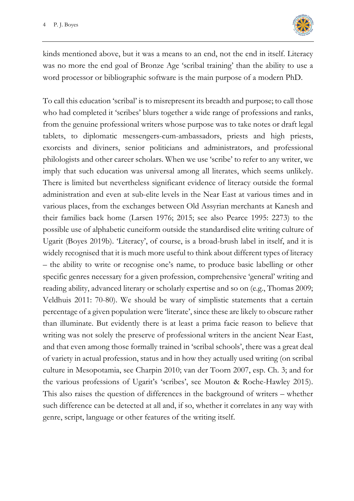

kinds mentioned above, but it was a means to an end, not the end in itself. Literacy was no more the end goal of Bronze Age 'scribal training' than the ability to use a word processor or bibliographic software is the main purpose of a modern PhD.

To call this education 'scribal' is to misrepresent its breadth and purpose; to call those who had completed it 'scribes' blurs together a wide range of professions and ranks, from the genuine professional writers whose purpose was to take notes or draft legal tablets, to diplomatic messengers-cum-ambassadors, priests and high priests, exorcists and diviners, senior politicians and administrators, and professional philologists and other career scholars. When we use 'scribe' to refer to any writer, we imply that such education was universal among all literates, which seems unlikely. There is limited but nevertheless significant evidence of literacy outside the formal administration and even at sub-elite levels in the Near East at various times and in various places, from the exchanges between Old Assyrian merchants at Kanesh and their families back home (Larsen 1976; 2015; see also Pearce 1995: 2273) to the possible use of alphabetic cuneiform outside the standardised elite writing culture of Ugarit (Boyes 2019b). 'Literacy', of course, is a broad-brush label in itself, and it is widely recognised that it is much more useful to think about different types of literacy – the ability to write or recognise one's name, to produce basic labelling or other specific genres necessary for a given profession, comprehensive 'general' writing and reading ability, advanced literary or scholarly expertise and so on (e.g., Thomas 2009; Veldhuis 2011: 70-80). We should be wary of simplistic statements that a certain percentage of a given population were 'literate', since these are likely to obscure rather than illuminate. But evidently there is at least a prima facie reason to believe that writing was not solely the preserve of professional writers in the ancient Near East, and that even among those formally trained in 'scribal schools', there was a great deal of variety in actual profession, status and in how they actually used writing (on scribal culture in Mesopotamia, see Charpin 2010; van der Toorn 2007, esp. Ch. 3; and for the various professions of Ugarit's 'scribes', see Mouton & Roche-Hawley 2015). This also raises the question of differences in the background of writers – whether such difference can be detected at all and, if so, whether it correlates in any way with genre, script, language or other features of the writing itself.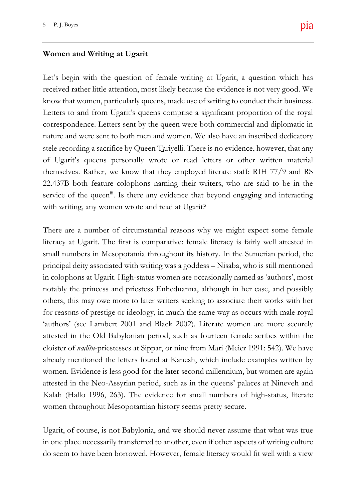#### **Women and Writing at Ugarit**

of Ugarit's queens personally wrote or read letters or other written material themselves. Rather, we know that they employed literate staff: RIH 77/9 and RS  $\sim$   $\sim$ 22.437B both feature colophons naming their writers, who are said to be in the  $\frac{d}{dx}$ service of the queen<sup>iii</sup>. Is there any evidence that beyond engaging and interacting  $\sum_{i=1}^{\infty}$ has  $\frac{1}{2}$ We know that women, particularly queens, made use of writing to conduct their business.  $T$  short represents the closing comments the forum covering  $\mathcal{L}$ correspondence. Letters sent by the queen were both commercial and diplomatic in **Keywords:** Archaeology; Brexit; Heritage; Funding; EU; Post-Truth Let's begin with the question of female writing at Ugarit, a question which has received rather little attention, most likely because the evidence is not very good. We Letters to and from Ugarit's queens comprise a significant proportion of the royal nature and were sent to both men and women. We also have an inscribed dedicatory stele recording a sacrifice by Queen Ṯariyelli. There is no evidence, however, that any with writing, any women wrote and read at Ugarit?

There are a number of circumstantial reasons why we might expect some female  $\frac{1}{2}$  in  $\frac{1}{2}$ literacy at Ugarit. The first is comparative: female literacy is fairly well attested in  $\mathbf u$  in terms of the actual prosmall numbers in Mesopotamia throughout its history. In the Sumerian period, the happened. More and more evidence is cerprincipal deity associated with writing was a goddess – Nisaba, who is still mentioned  $\frac{1}{2}$ in colophons at Ugarit. High-status women are occasionally named as 'authors', most  $\sum_{i=1}^{n}$ notably the princess and priestess Enheduanna, although in her case, and possibly for reasons of prestige or ideology, in much the same way as occurs with male royal others, this may owe more to later writers seeking to associate their works with her 'authors' (see Lambert 2001 and Black 2002). Literate women are more securely attested in the Old Babylonian period, such as fourteen female scribes within the cloister of *nadītu*-priestesses at Sippar, or nine from Mari (Meier 1991: 542). We have already mentioned the letters found at Kanesh, which include examples written by women. Evidence is less good for the later second millennium, but women are again attested in the Neo-Assyrian period, such as in the queens' palaces at Nineveh and Kalah (Hallo 1996, 263). The evidence for small numbers of high-status, literate women throughout Mesopotamian history seems pretty secure.

Ugarit, of course, is not Babylonia, and we should never assume that what was true in one place necessarily transferred to another, even if other aspects of writing culture do seem to have been borrowed. However, female literacy would fit well with a view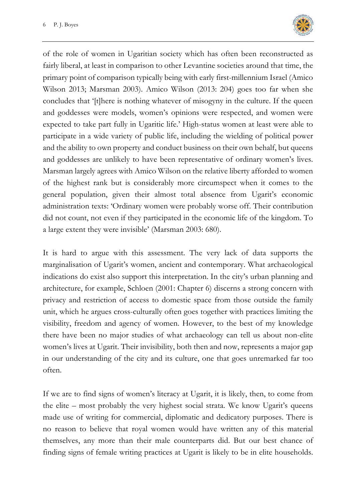

of the role of women in Ugaritian society which has often been reconstructed as fairly liberal, at least in comparison to other Levantine societies around that time, the primary point of comparison typically being with early first-millennium Israel (Amico Wilson 2013; Marsman 2003). Amico Wilson (2013: 204) goes too far when she concludes that '[t]here is nothing whatever of misogyny in the culture. If the queen and goddesses were models, women's opinions were respected, and women were expected to take part fully in Ugaritic life.' High-status women at least were able to participate in a wide variety of public life, including the wielding of political power and the ability to own property and conduct business on their own behalf, but queens and goddesses are unlikely to have been representative of ordinary women's lives. Marsman largely agrees with Amico Wilson on the relative liberty afforded to women of the highest rank but is considerably more circumspect when it comes to the general population, given their almost total absence from Ugarit's economic administration texts: 'Ordinary women were probably worse off. Their contribution did not count, not even if they participated in the economic life of the kingdom. To a large extent they were invisible' (Marsman 2003: 680).

It is hard to argue with this assessment. The very lack of data supports the marginalisation of Ugarit's women, ancient and contemporary. What archaeological indications do exist also support this interpretation. In the city's urban planning and architecture, for example, Schloen (2001: Chapter 6) discerns a strong concern with privacy and restriction of access to domestic space from those outside the family unit, which he argues cross-culturally often goes together with practices limiting the visibility, freedom and agency of women. However, to the best of my knowledge there have been no major studies of what archaeology can tell us about non-elite women's lives at Ugarit. Their invisibility, both then and now, represents a major gap in our understanding of the city and its culture, one that goes unremarked far too often.

If we are to find signs of women's literacy at Ugarit, it is likely, then, to come from the elite – most probably the very highest social strata. We know Ugarit's queens made use of writing for commercial, diplomatic and dedicatory purposes. There is no reason to believe that royal women would have written any of this material themselves, any more than their male counterparts did. But our best chance of finding signs of female writing practices at Ugarit is likely to be in elite households.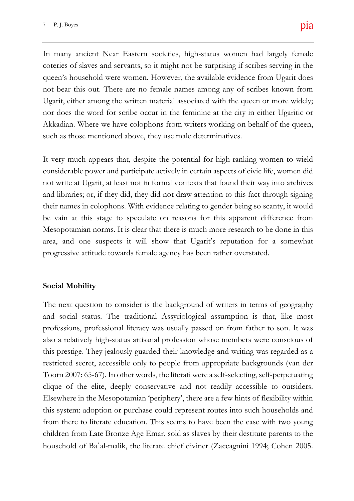coteries of slaves and servants, so it might not be surprising if scribes serving in the does and Heritage:  $\frac{1}{2}$  for  $\frac{1}{2}$ Ugarit, either among the written material associated with the queen or more widely; This short report represents the closing comments to the forum covering Brexit, Akkadian. Where we have colophons from writers working on behalf of the queen, In many ancient Near Eastern societies, high-status women had largely female queen's household were women. However, the available evidence from Ugarit does not bear this out. There are no female names among any of scribes known from nor does the word for scribe occur in the feminine at the city in either Ugaritic or such as those mentioned above, they use male determinatives.

**Closing Comment** considerable power and participate actively in certain aspects of civic life, women did  $t = t$ not write at Ugarit, at least not in formal contexts that found their way into archives tionship to archaeology and heritage. These and libraries; or, if they did, they did not draw attention to this fact through signing  $\overline{\phantom{a}}$ their names in colophons. With evidence relating to gender being so scanty, it would with  $u = u$ , and increasingly comment be vain at this stage to speculate on reasons for this apparent difference from com which we can only hope a positive a positive a positive a positive a positive a positive a positive a positive a positive a positive a positive a positive a positive a positive a positive a positive a positive a positi Mesopotamian norms. It is clear that there is much more research to be done in this initial paper for this Forum in July of 2017, area, and one suspects it will show that Ugarit's reputation for a somewhat  $\overline{a}$ It very much appears that, despite the potential for high-ranking women to wield progressive attitude towards female agency has been rather overstated.

### **Social Mobility**

The next question to consider is the background of writers in terms of geography and social status. The traditional Assyriological assumption is that, like most professions, professional literacy was usually passed on from father to son. It was also a relatively high-status artisanal profession whose members were conscious of this prestige. They jealously guarded their knowledge and writing was regarded as a restricted secret, accessible only to people from appropriate backgrounds (van der Toorn 2007: 65-67). In other words, the literati were a self-selecting, self-perpetuating clique of the elite, deeply conservative and not readily accessible to outsiders. Elsewhere in the Mesopotamian 'periphery', there are a few hints of flexibility within this system: adoption or purchase could represent routes into such households and from there to literate education. This seems to have been the case with two young children from Late Bronze Age Emar, sold as slaves by their destitute parents to the household of Baʿal-malik, the literate chief diviner (Zaccagnini 1994; Cohen 2005.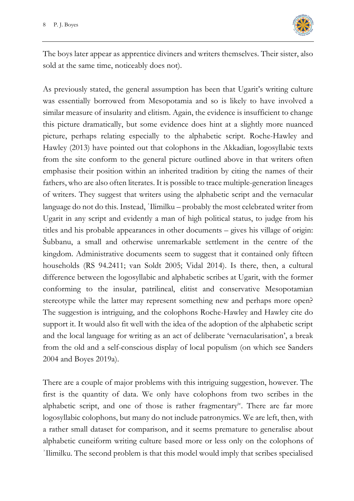

The boys later appear as apprentice diviners and writers themselves. Their sister, also sold at the same time, noticeably does not).

As previously stated, the general assumption has been that Ugarit's writing culture was essentially borrowed from Mesopotamia and so is likely to have involved a similar measure of insularity and elitism. Again, the evidence is insufficient to change this picture dramatically, but some evidence does hint at a slightly more nuanced picture, perhaps relating especially to the alphabetic script. Roche-Hawley and Hawley (2013) have pointed out that colophons in the Akkadian, logosyllabic texts from the site conform to the general picture outlined above in that writers often emphasise their position within an inherited tradition by citing the names of their fathers, who are also often literates. It is possible to trace multiple-generation lineages of writers. They suggest that writers using the alphabetic script and the vernacular language do not do this. Instead, ʾIlimilku – probably the most celebrated writer from Ugarit in any script and evidently a man of high political status, to judge from his titles and his probable appearances in other documents – gives his village of origin: Šubbanu, a small and otherwise unremarkable settlement in the centre of the kingdom. Administrative documents seem to suggest that it contained only fifteen households (RS 94.2411; van Soldt 2005; Vidal 2014). Is there, then, a cultural difference between the logosyllabic and alphabetic scribes at Ugarit, with the former conforming to the insular, patrilineal, elitist and conservative Mesopotamian stereotype while the latter may represent something new and perhaps more open? The suggestion is intriguing, and the colophons Roche-Hawley and Hawley cite do support it. It would also fit well with the idea of the adoption of the alphabetic script and the local language for writing as an act of deliberate 'vernacularisation', a break from the old and a self-conscious display of local populism (on which see Sanders 2004 and Boyes 2019a).

There are a couple of major problems with this intriguing suggestion, however. The first is the quantity of data. We only have colophons from two scribes in the alphabetic script, and one of those is rather fragmentary<sup>"</sup>. There are far more logosyllabic colophons, but many do not include patronymics. We are left, then, with a rather small dataset for comparison, and it seems premature to generalise about alphabetic cuneiform writing culture based more or less only on the colophons of ʾIlimilku. The second problem is that this model would imply that scribes specialised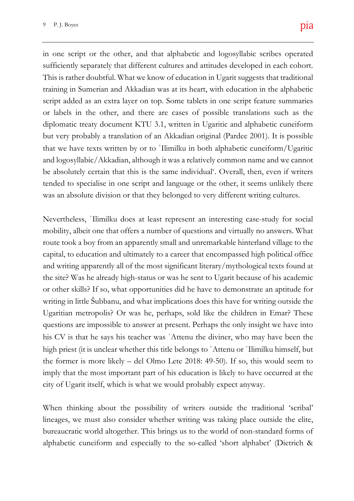**Closing Comment** be absolutely certain that this is the same individual<sup>y</sup>. Overall, then, even if writers  $\sum_{i=1}^n$ tended to specialise in one script and language or the other, it seems unlikely there  $\frac{1}{\pi}$ sufficiently separately that different cultures and attitudes developed in each cohort. Break and Heritage:  $\mathcal{L}$  $\overline{\phantom{a}}$ script added as an extra layer on top. Some tablets in one script feature summaries This short report represents the closing comments to the forum covering Brexit, diplomatic treaty document KTU 3.1, written in Ugaritic and alphabetic cuneiform in one script or the other, and that alphabetic and logosyllabic scribes operated This is rather doubtful. What we know of education in Ugarit suggests that traditional training in Sumerian and Akkadian was at its heart, with education in the alphabetic or labels in the other, and there are cases of possible translations such as the but very probably a translation of an Akkadian original (Pardee 2001). It is possible that we have texts written by or to ʾIlimilku in both alphabetic cuneiform/Ugaritic and logosyllabic/Akkadian, although it was a relatively common name and we cannot was an absolute division or that they belonged to very different writing cultures.

Nevertheless, 'Ilimilku does at least represent an interesting case-study for social  $\sum_{i=1}^n$ mobility, albeit one that offers a number of questions and virtually no answers. What  $\int$ inat  $\mathbf{h}$  $\sum_{i=1}^n$  $c_{\text{E}}$ capital, to education and ultimately to a career that encompassed high political office  $\frac{d}{dt}$  and  $\frac{d}{dt}$ and writing apparently all of the most significant literary/mythological texts found at  $\ddot{\phantom{a}}$  conclusion, where in UK general cause, where  $\ddot{\phantom{a}}$ the site? Was he already high-status or was he sent to Ugarit because of his academic or other skills? If so, what opportunities did he have to demonstrate an aptitude for writing in little Subbanu, and what implications does this have for writing outside the Ugaritian metropolis? Or was he, perhaps, sold like the children in Emar? These route took a boy from an apparently small and unremarkable hinterland village to the questions are impossible to answer at present. Perhaps the only insight we have into his CV is that he says his teacher was ʾAttenu the diviner, who may have been the high priest (it is unclear whether this title belongs to ʾAttenu or ʾIlimilku himself, but the former is more likely – del Olmo Lete 2018: 49-50). If so, this would seem to imply that the most important part of his education is likely to have occurred at the city of Ugarit itself, which is what we would probably expect anyway.

When thinking about the possibility of writers outside the traditional 'scribal' lineages, we must also consider whether writing was taking place outside the elite, bureaucratic world altogether. This brings us to the world of non-standard forms of alphabetic cuneiform and especially to the so-called 'short alphabet' (Dietrich &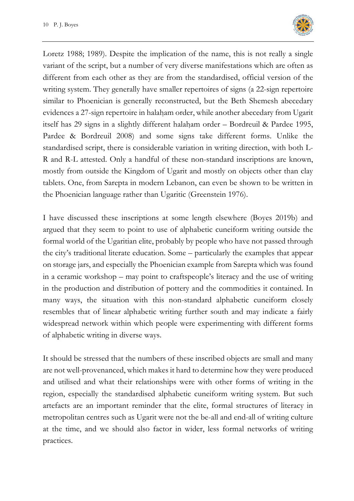

Loretz 1988; 1989). Despite the implication of the name, this is not really a single variant of the script, but a number of very diverse manifestations which are often as different from each other as they are from the standardised, official version of the writing system. They generally have smaller repertoires of signs (a 22-sign repertoire similar to Phoenician is generally reconstructed, but the Beth Shemesh abecedary evidences a 27-sign repertoire in halaḥam order, while another abecedary from Ugarit itself has 29 signs in a slightly different halaḥam order – Bordreuil & Pardee 1995, Pardee & Bordreuil 2008) and some signs take different forms. Unlike the standardised script, there is considerable variation in writing direction, with both L-R and R-L attested. Only a handful of these non-standard inscriptions are known, mostly from outside the Kingdom of Ugarit and mostly on objects other than clay tablets. One, from Sarepta in modern Lebanon, can even be shown to be written in the Phoenician language rather than Ugaritic (Greenstein 1976).

I have discussed these inscriptions at some length elsewhere (Boyes 2019b) and argued that they seem to point to use of alphabetic cuneiform writing outside the formal world of the Ugaritian elite, probably by people who have not passed through the city's traditional literate education. Some – particularly the examples that appear on storage jars, and especially the Phoenician example from Sarepta which was found in a ceramic workshop – may point to craftspeople's literacy and the use of writing in the production and distribution of pottery and the commodities it contained. In many ways, the situation with this non-standard alphabetic cuneiform closely resembles that of linear alphabetic writing further south and may indicate a fairly widespread network within which people were experimenting with different forms of alphabetic writing in diverse ways.

It should be stressed that the numbers of these inscribed objects are small and many are not well-provenanced, which makes it hard to determine how they were produced and utilised and what their relationships were with other forms of writing in the region, especially the standardised alphabetic cuneiform writing system. But such artefacts are an important reminder that the elite, formal structures of literacy in metropolitan centres such as Ugarit were not the be-all and end-all of writing culture at the time, and we should also factor in wider, less formal networks of writing practices.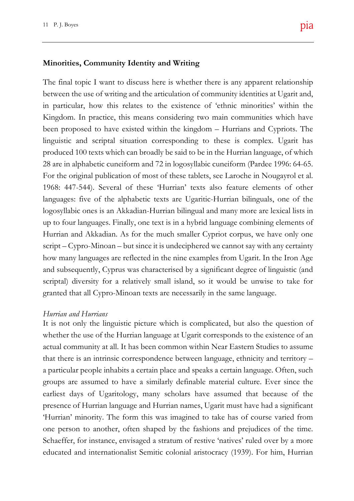#### **Minorities, Community Identity and Writing**

**Closing Comment** 28 are in alphabetic cuneiform and 72 in logosyllabic cuneiform (Pardee 1996: 64-65. For the original publication of most of these tablets, see Laroche in Nougayrol et al. 1968: 447-544). Several of these 'Hurrian' texts also feature elements of other languages: five of the alphabetic texts are Ugaritic-Hurrian bilinguals, one of the logosyllabic ones is an Akkadian-Hurrian bilingual and many more are lexical lists in up to four languages. Finally, one text is in a hybrid language combining elements of Hurrian and Akkadian. As for the much smaller Cypriot corpus, we have only one script – Cypro-Minoan – but since it is undeciphered we cannot say with any certainty cess of exiting the EU remarkably little has how many languages are reflected in the nine examples from Ugarit. In the Iron Age  $\sigma$ and subsequently, Cyprus was characterised by a significant degree of linguistic (and conclusion, will cause, will cause, whether in UK genscriptal) diversity for a relatively small island, so it would be unwise to take for Brexit, Archaeology and Heritage:  $\frac{1}{2}$ Andrew Gardner and Rodney Harrison  $\Box$  ave linguistic and scriptal situation corresponding to these is complex. Ugarit has The final topic I want to discuss here is whether there is any apparent relationship between the use of writing and the articulation of community identities at Ugarit and, in particular, how this relates to the existence of 'ethnic minorities' within the Kingdom. In practice, this means considering two main communities which have been proposed to have existed within the kingdom – Hurrians and Cypriots. The produced 100 texts which can broadly be said to be in the Hurrian language, of which granted that all Cypro-Minoan texts are necessarily in the same language.

#### *Hurrian and Hurrians*

It is not only the linguistic picture which is complicated, but also the question of whether the use of the Hurrian language at Ugarit corresponds to the existence of an actual community at all. It has been common within Near Eastern Studies to assume that there is an intrinsic correspondence between language, ethnicity and territory – a particular people inhabits a certain place and speaks a certain language. Often, such groups are assumed to have a similarly definable material culture. Ever since the earliest days of Ugaritology, many scholars have assumed that because of the presence of Hurrian language and Hurrian names, Ugarit must have had a significant 'Hurrian' minority. The form this was imagined to take has of course varied from one person to another, often shaped by the fashions and prejudices of the time. Schaeffer, for instance, envisaged a stratum of restive 'natives' ruled over by a more educated and internationalist Semitic colonial aristocracy (1939). For him, Hurrian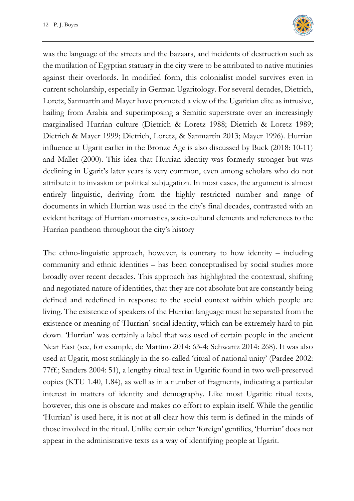

was the language of the streets and the bazaars, and incidents of destruction such as the mutilation of Egyptian statuary in the city were to be attributed to native mutinies against their overlords. In modified form, this colonialist model survives even in current scholarship, especially in German Ugaritology. For several decades, Dietrich, Loretz, Sanmartín and Mayer have promoted a view of the Ugaritian elite as intrusive, hailing from Arabia and superimposing a Semitic superstrate over an increasingly marginalised Hurrian culture (Dietrich & Loretz 1988; Dietrich & Loretz 1989; Dietrich & Mayer 1999; Dietrich, Loretz, & Sanmartín 2013; Mayer 1996). Hurrian influence at Ugarit earlier in the Bronze Age is also discussed by Buck (2018: 10-11) and Mallet (2000). This idea that Hurrian identity was formerly stronger but was declining in Ugarit's later years is very common, even among scholars who do not attribute it to invasion or political subjugation. In most cases, the argument is almost entirely linguistic, deriving from the highly restricted number and range of documents in which Hurrian was used in the city's final decades, contrasted with an evident heritage of Hurrian onomastics, socio-cultural elements and references to the Hurrian pantheon throughout the city's history

The ethno-linguistic approach, however, is contrary to how identity – including community and ethnic identities – has been conceptualised by social studies more broadly over recent decades. This approach has highlighted the contextual, shifting and negotiated nature of identities, that they are not absolute but are constantly being defined and redefined in response to the social context within which people are living. The existence of speakers of the Hurrian language must be separated from the existence or meaning of 'Hurrian' social identity, which can be extremely hard to pin down. 'Hurrian' was certainly a label that was used of certain people in the ancient Near East (see, for example, de Martino 2014: 63-4; Schwartz 2014: 268). It was also used at Ugarit, most strikingly in the so-called 'ritual of national unity' (Pardee 2002: 77ff.; Sanders 2004: 51), a lengthy ritual text in Ugaritic found in two well-preserved copies (KTU 1.40, 1.84), as well as in a number of fragments, indicating a particular interest in matters of identity and demography. Like most Ugaritic ritual texts, however, this one is obscure and makes no effort to explain itself. While the gentilic 'Hurrian' is used here, it is not at all clear how this term is defined in the minds of those involved in the ritual. Unlike certain other 'foreign' gentilics, 'Hurrian' does not appear in the administrative texts as a way of identifying people at Ugarit.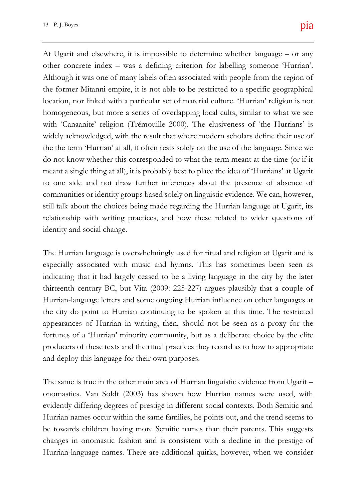**Closing Comment** meant a single thing at all), it is probably best to place the idea of 'Hurrians' at Ugarit  $\mathcal{S}^{\text{true}}$ to one side and not draw further inferences about the presence of absence of tionship to archaeology and heritage. These communities or identity groups based solely on linguistic evidence. We can, however,  $\cdot$  the scholarly, the political and political and political and political and political and political and political and political and political and political and political and political and political and political and p still talk about the choices being made regarding the Hurrian language at Ugarit, its  $w_i$ , and increasing relationship with writing practices, and how these related to wider questions of  $\mathcal{L}$  from which we can only hope a positive a positive a positive a positive a positive a positive a positive a positive a positive and  $\mathcal{L}$ other concrete index – was a defining criterion for labelling someone 'Hurrian'.  $\inf$ tical and the state of the state of the state of the state of the state of the state of the state of the state of the state of the state of the state of the state of the state of the state of the state of the state of the location, nor linked with a particular set of material culture. 'Hurrian' religion is not This short report represents the closing comments to the forum covering Brexit, with 'Canaanite' religion (Trémouille 2000). The elusiveness of 'the Hurrians' is At Ugarit and elsewhere, it is impossible to determine whether language – or any Although it was one of many labels often associated with people from the region of the former Mitanni empire, it is not able to be restricted to a specific geographical homogeneous, but more a series of overlapping local cults, similar to what we see widely acknowledged, with the result that where modern scholars define their use of the the term 'Hurrian' at all, it often rests solely on the use of the language. Since we do not know whether this corresponded to what the term meant at the time (or if it identity and social change.

The Hurrian language is overwhelmingly used for ritual and religion at Ugarit and is  $\mathbf{h}$ especially associated with music and hymns. This has sometimes been seen as  $\mathbf{r}$  the this problems that the should it reaches that the should it reaches that  $\mathbf{r}$ indicating that it had largely ceased to be a living language in the city by the later  $\frac{1}{\sqrt{2}}$ thirteenth century BC, but Vita (2009: 225-227) argues plausibly that a couple of the city do point to Hurrian continuing to be spoken at this time. The restricted Hurrian-language letters and some ongoing Hurrian influence on other languages at appearances of Hurrian in writing, then, should not be seen as a proxy for the fortunes of a 'Hurrian' minority community, but as a deliberate choice by the elite producers of these texts and the ritual practices they record as to how to appropriate and deploy this language for their own purposes.

The same is true in the other main area of Hurrian linguistic evidence from Ugarit – onomastics. Van Soldt (2003) has shown how Hurrian names were used, with evidently differing degrees of prestige in different social contexts. Both Semitic and Hurrian names occur within the same families, he points out, and the trend seems to be towards children having more Semitic names than their parents. This suggests changes in onomastic fashion and is consistent with a decline in the prestige of Hurrian-language names. There are additional quirks, however, when we consider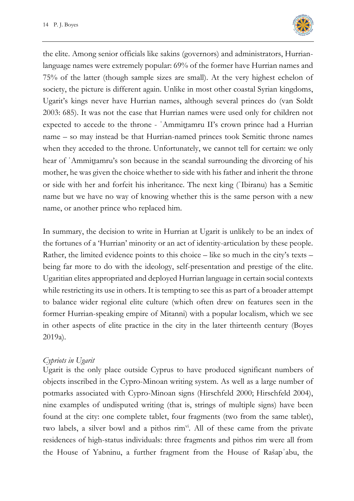

the elite. Among senior officials like sakins (governors) and administrators, Hurrianlanguage names were extremely popular: 69% of the former have Hurrian names and 75% of the latter (though sample sizes are small). At the very highest echelon of society, the picture is different again. Unlike in most other coastal Syrian kingdoms, Ugarit's kings never have Hurrian names, although several princes do (van Soldt 2003: 685). It was not the case that Hurrian names were used only for children not expected to accede to the throne - ʿAmmiṯtamru II's crown prince had a Hurrian name – so may instead be that Hurrian-named princes took Semitic throne names when they acceded to the throne. Unfortunately, we cannot tell for certain: we only hear of 'Ammittamru's son because in the scandal surrounding the divorcing of his mother, he was given the choice whether to side with his father and inherit the throne or side with her and forfeit his inheritance. The next king (ʾIbiranu) has a Semitic name but we have no way of knowing whether this is the same person with a new name, or another prince who replaced him.

In summary, the decision to write in Hurrian at Ugarit is unlikely to be an index of the fortunes of a 'Hurrian' minority or an act of identity-articulation by these people. Rather, the limited evidence points to this choice – like so much in the city's texts – being far more to do with the ideology, self-presentation and prestige of the elite. Ugaritian elites appropriated and deployed Hurrian language in certain social contexts while restricting its use in others. It is tempting to see this as part of a broader attempt to balance wider regional elite culture (which often drew on features seen in the former Hurrian-speaking empire of Mitanni) with a popular localism, which we see in other aspects of elite practice in the city in the later thirteenth century (Boyes 2019a).

### *Cypriots in Ugarit*

Ugarit is the only place outside Cyprus to have produced significant numbers of objects inscribed in the Cypro-Minoan writing system. As well as a large number of potmarks associated with Cypro-Minoan signs (Hirschfeld 2000; Hirschfeld 2004), nine examples of undisputed writing (that is, strings of multiple signs) have been found at the city: one complete tablet, four fragments (two from the same tablet), two labels, a silver bowl and a pithos  $\operatorname{rim}^{\text{vi}}$ . All of these came from the private residences of high-status individuals: three fragments and pithos rim were all from the House of Yabninu, a further fragment from the House of Rašapʾabu, the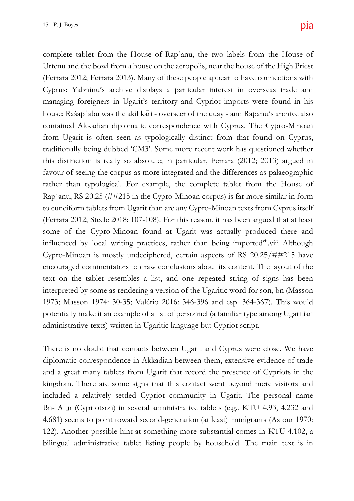**Closing Comment** this distinction is really so absolute; in particular, Ferrara (2012; 2013) argued in favour of seeing the corpus as more integrated and the differences as palaeographic  $\sum_{i=1}^{\infty}$ rather than typological. For example, the complete tablet from the House of  $\frac{1}{\sqrt{2}}$ essays reflect in diverse ways the complex Rapʾanu, RS 20.25 (##215 in the Cypro-Minoan corpus) is far more similar in form  $t_{\text{total}}$  that has perfect always been had been had been has perfect as perhaps always been has perfect as  $t_{\text{total}}$ to cuneiform tablets from Ugarit than are any Cypro-Minoan texts from Cyprus itself  $\mathbf{b}$  which  $\mathbf{b}$  and  $\mathbf{b}$  are brought to a moment of  $\mathbf{b}$ (Ferrara 2012; Steele 2018: 107-108). For this reason, it has been argued that at least  $\sim$  1 some of the Cypro-Minoan found at Ugarit was actually produced there and  $\mathbf{r}$ influenced by local writing practices, rather than being imported<sup>vii</sup>.viii Although cess of exiting the EU remarkably little has Cypro-Minoan is mostly undeciphered, certain aspects of RS 20.25/##215 have  $t_{\rm eff}$  emerging of the social and economic encouraged commentators to draw conclusions about its content. The layout of the text on the tablet resembles a list, and one repeated string of signs has been 1973; Masson 1974: 30-35; Valério 2016: 346-396 and esp. 364-367). This would potentially make it an example of a list of personnel (a familiar type among Ugaritian Urtenu and the bowl from a house on the acropolis, near the house of the High Priest  $\overline{\text{with}}$  $\mathbf{f}$  and managing foreigners in Ugarit's territory and Cypriot imports were found in his  $\frac{\text{m}}{\text{m}}$ contained Akkadian diplomatic correspondence with Cyprus. The Cypro-Minoan  $H(x, \theta)$ complete tablet from the House of Rapʾanu, the two labels from the House of (Ferrara 2012; Ferrara 2013). Many of these people appear to have connections with Cyprus: Yabninu's archive displays a particular interest in overseas trade and house; Rašapʾabu was the akil kāri - overseer of the quay - and Rapanu's archive also from Ugarit is often seen as typologically distinct from that found on Cyprus, traditionally being dubbed 'CM3'. Some more recent work has questioned whether interpreted by some as rendering a version of the Ugaritic word for son, bn (Masson administrative texts) written in Ugaritic language but Cypriot script.

There is no doubt that contacts between Ugarit and Cyprus were close. We have diplomatic correspondence in Akkadian between them, extensive evidence of trade and a great many tablets from Ugarit that record the presence of Cypriots in the kingdom. There are some signs that this contact went beyond mere visitors and included a relatively settled Cypriot community in Ugarit. The personal name Bn-ʾAlṯn (Cypriotson) in several administrative tablets (e.g., KTU 4.93, 4.232 and 4.681) seems to point toward second-generation (at least) immigrants (Astour 1970: 122). Another possible hint at something more substantial comes in KTU 4.102, a bilingual administrative tablet listing people by household. The main text is in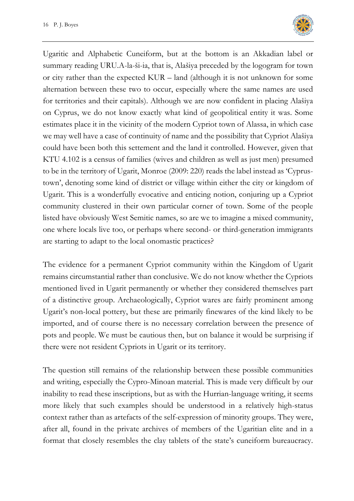

Ugaritic and Alphabetic Cuneiform, but at the bottom is an Akkadian label or summary reading URU.A-la-ši-ia, that is, Alašiya preceded by the logogram for town or city rather than the expected KUR – land (although it is not unknown for some alternation between these two to occur, especially where the same names are used for territories and their capitals). Although we are now confident in placing Alašiya on Cyprus, we do not know exactly what kind of geopolitical entity it was. Some estimates place it in the vicinity of the modern Cypriot town of Alassa, in which case we may well have a case of continuity of name and the possibility that Cypriot Alašiya could have been both this settement and the land it controlled. However, given that KTU 4.102 is a census of families (wives and children as well as just men) presumed to be in the territory of Ugarit, Monroe (2009: 220) reads the label instead as 'Cyprustown', denoting some kind of district or village within either the city or kingdom of Ugarit. This is a wonderfully evocative and enticing notion, conjuring up a Cypriot community clustered in their own particular corner of town. Some of the people listed have obviously West Semitic names, so are we to imagine a mixed community, one where locals live too, or perhaps where second- or third-generation immigrants are starting to adapt to the local onomastic practices?

The evidence for a permanent Cypriot community within the Kingdom of Ugarit remains circumstantial rather than conclusive. We do not know whether the Cypriots mentioned lived in Ugarit permanently or whether they considered themselves part of a distinctive group. Archaeologically, Cypriot wares are fairly prominent among Ugarit's non-local pottery, but these are primarily finewares of the kind likely to be imported, and of course there is no necessary correlation between the presence of pots and people. We must be cautious then, but on balance it would be surprising if there were not resident Cypriots in Ugarit or its territory.

The question still remains of the relationship between these possible communities and writing, especially the Cypro-Minoan material. This is made very difficult by our inability to read these inscriptions, but as with the Hurrian-language writing, it seems more likely that such examples should be understood in a relatively high-status context rather than as artefacts of the self-expression of minority groups. They were, after all, found in the private archives of members of the Ugaritian elite and in a format that closely resembles the clay tablets of the state's cuneiform bureaucracy.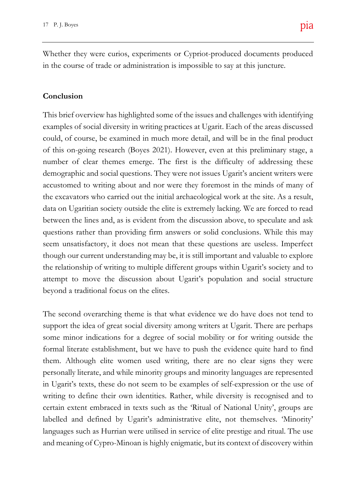Whether they were curios, experiments or Cypriot-produced documents produced in the course of trade or administration is impossible to say at this juncture.

#### **Conclusion**

number of clear themes emerge. The first is the difficulty of addressing these  $W_{\rm eff}$  would like the respondents thank the respondents thank the respondents of  $\alpha$ demographic and social questions. They were not issues Ugarit's ancient writers were  $\epsilon$ accustomed to writing about and nor were they foremost in the minds of many of essays reflect in diverse ways the complex the excavators who carried out the initial archaeological work at the site. As a result,  $\mathbf t$ data on Ugaritian society outside the elite is extremely lacking. We are forced to read but which Brexit has brought to a moment of between the lines and, as is evident from the discussion above, to speculate and ask questions rather than providing firm answers or solid conclusions. While this may  $\epsilon$ seem unsatisfactory, it does not mean that these questions are useless. Imperfect  $\mathbf{I}$ though our current understanding may be, it is still important and valuable to explore  $t$ ainly emerging of the social and economic the relationship of writing to multiple different groups within Ugarit's society and to attempt to move the discussion about Ugarit's population and social structure  $y$ nig comments the covering comments the forum covering  $c$ examples of social diversity in writing practices at Ugarit. Each of the areas discussed **Keywords:** Archaeology; Brexit; Heritage; Funding; EU; Post-Truth This brief overview has highlighted some of the issues and challenges with identifying could, of course, be examined in much more detail, and will be in the final product of this on-going research (Boyes 2021). However, even at this preliminary stage, a beyond a traditional focus on the elites.

The second overarching theme is that what evidence we do have does not tend to support the idea of great social diversity among writers at Ugarit. There are perhaps some minor indications for a degree of social mobility or for writing outside the formal literate establishment, but we have to push the evidence quite hard to find them. Although elite women used writing, there are no clear signs they were personally literate, and while minority groups and minority languages are represented in Ugarit's texts, these do not seem to be examples of self-expression or the use of writing to define their own identities. Rather, while diversity is recognised and to certain extent embraced in texts such as the 'Ritual of National Unity', groups are labelled and defined by Ugarit's administrative elite, not themselves. 'Minority' languages such as Hurrian were utilised in service of elite prestige and ritual. The use and meaning of Cypro-Minoan is highly enigmatic, but its context of discovery within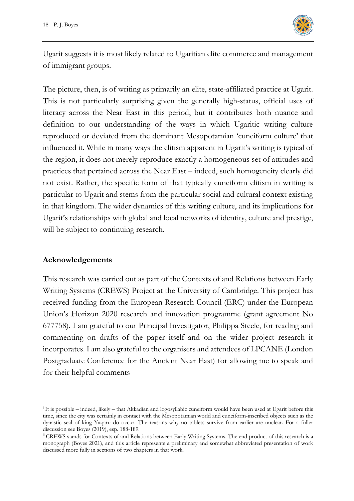

Ugarit suggests it is most likely related to Ugaritian elite commerce and management of immigrant groups.

The picture, then, is of writing as primarily an elite, state-affiliated practice at Ugarit. This is not particularly surprising given the generally high-status, official uses of literacy across the Near East in this period, but it contributes both nuance and definition to our understanding of the ways in which Ugaritic writing culture reproduced or deviated from the dominant Mesopotamian 'cuneiform culture' that influenced it. While in many ways the elitism apparent in Ugarit's writing is typical of the region, it does not merely reproduce exactly a homogeneous set of attitudes and practices that pertained across the Near East – indeed, such homogeneity clearly did not exist. Rather, the specific form of that typically cuneiform elitism in writing is particular to Ugarit and stems from the particular social and cultural context existing in that kingdom. The wider dynamics of this writing culture, and its implications for Ugarit's relationships with global and local networks of identity, culture and prestige, will be subject to continuing research.

### **Acknowledgements**

This research was carried out as part of the Contexts of and Relations between Early Writing Systems (CREWS) Project at the University of Cambridge. This project has received funding from the European Research Council (ERC) under the European Union's Horizon 2020 research and innovation programme (grant agreement No 677758). I am grateful to our Principal Investigator, Philippa Steele, for reading and commenting on drafts of the paper itself and on the wider project research it incorporates. I am also grateful to the organisers and attendees of LPCANE (London Postgraduate Conference for the Ancient Near East) for allowing me to speak and for their helpful comments

<sup>i</sup> It is possible – indeed, likely – that Akkadian and logosyllabic cuneiform would have been used at Ugarit before this time, since the city was certainly in contact with the Mesopotamian world and cuneiform-inscribed objects such as the dynastic seal of king Yaqaru do occur. The reasons why no tablets survive from earlier are unclear. For a fuller discussion see Boyes (2019), esp. 188-189.

ii CREWS stands for Contexts of and Relations between Early Writing Systems. The end product of this research is a monograph (Boyes 2021), and this article represents a preliminary and somewhat abbreviated presentation of work discussed more fully in sections of two chapters in that work.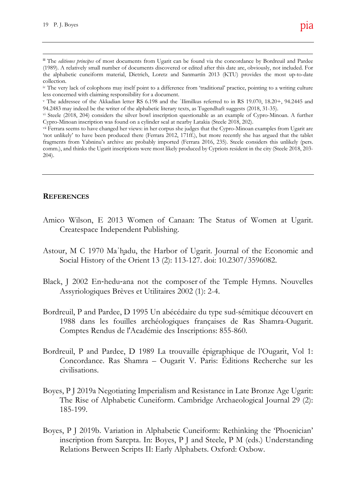to our paper for their contributions to the

#### **REFERENCES**

- but which Brexit has brought to a moment of Amico Wilson, E 2013 Women of Canaan: The Status of Women at Ugarit. Createspace Independent Publishing.
- although ironically in terms of the actual pro-Astour, M C 1970 Ma'hadu, the Harbor of Ugarit. Journal of the Economic and Social History of the Orient 13 (2): 113-127. doi: 10.2307/3596082.
- Black, J 2002 En-hedu-ana not the composer of the Temple Hymns. Nouvelles Ireland; e.g. House of Lords 2016; The UK in a Assyriologiques Brèves et Utilitaires 2002 (1): 2-4.
- Bordreuil, P and Pardee, D 1995 Un abécédaire du type sud-sémitique découvert en (andrew.gardner@ucl.ac.uk) 1988 dans les fouilles archéologiques françaises de Ras Shamra-Ougarit. Comptes Rendus de l'Académie des Inscriptions: 855-860.
- Bordreuil, P and Pardee, D 1989 La trouvaille épigraphique de l'Ougarit, Vol 1: Concordance. Ras Shamra – Ougarit V. Paris: Éditions Recherche sur les civilisations.
- Boyes, P J 2019a Negotiating Imperialism and Resistance in Late Bronze Age Ugarit: The Rise of Alphabetic Cuneiform. Cambridge Archaeological Journal 29 (2): 185-199.
- Boyes, P J 2019b. Variation in Alphabetic Cuneiform: Rethinking the 'Phoenician' inscription from Sarepta. In: Boyes, P J and Steele, P M (eds.) Understanding Relations Between Scripts II: Early Alphabets. Oxford: Oxbow.

III The *editiones principes* of most documents from Ugarit can be found via the concordance by Bordreuil and Pardee breaking and Heritage:  $\mathcal{A}$ (1989). A relatively small number of documents discovered or edited after this date are, obviously, not included. For the alphabetic cuneiform material, Dietrich, Loretz and Sanmartín 2013 (KTU) provides the most up-to-date collection.

dure the set of the set of the set of the set of the set of the set of the set of the set of the set of the set of the set of the set of the set of the set of the set of the set of the set of the set of the set of the set iv The very lack of colophons may itself point to a difference from 'traditional' practice, pointing to a writing culture less concerned with claiming responsibility for a document.

v The addressee of the Akkadian letter RS 6.198 and the 'Ilimilkus referred to in RS 19.070, 18.20+, 94.2445 and 94.2483 may indeed be the writer of the alphabetic literary texts, as Tugendhaft suggests (2018, 31-35).

This short report represents the closing comments to the forum covering Brexit, vi Steele (2018, 204) considers the silver bowl inscription questionable as an example of Cypro-Minoan. A further Cypro-Minoan inscription was found on a cylinder seal at nearby Latakia (Steele 2018, 202).

 $(pers.$ vii Ferrara seems to have changed her views: in her corpus she judges that the Cypro-Minoan examples from Ugarit are 'not unlikely' to have been produced there (Ferrara 2012, 171ff.), but more recently she has argued that the tablet fragments from Yabninu's archive are probably imported (Ferrara 2016, 235). Steele considers this unlikely (pers. comm.), and thinks the Ugarit inscriptions were most likely produced by Cypriots resident in the city (Steele 2018, 203- 204).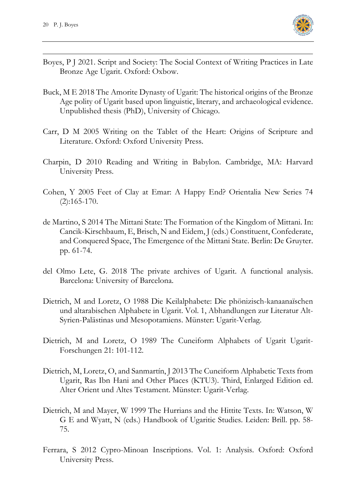

- Boyes, P J 2021. Script and Society: The Social Context of Writing Practices in Late Bronze Age Ugarit. Oxford: Oxbow.
- Buck, M E 2018 The Amorite Dynasty of Ugarit: The historical origins of the Bronze Age polity of Ugarit based upon linguistic, literary, and archaeological evidence. Unpublished thesis (PhD), University of Chicago.
- Carr, D M 2005 Writing on the Tablet of the Heart: Origins of Scripture and Literature. Oxford: Oxford University Press.
- Charpin, D 2010 Reading and Writing in Babylon. Cambridge, MA: Harvard University Press.
- Cohen, Y 2005 Feet of Clay at Emar: A Happy End? Orientalia New Series 74 (2):165-170.
- de Martino, S 2014 The Mittani State: The Formation of the Kingdom of Mittani. In: Cancik-Kirschbaum, E, Brisch, N and Eidem, J (eds.) Constituent, Confederate, and Conquered Space, The Emergence of the Mittani State. Berlin: De Gruyter. pp. 61-74.
- del Olmo Lete, G. 2018 The private archives of Ugarit. A functional analysis. Barcelona: University of Barcelona.
- Dietrich, M and Loretz, O 1988 Die Keilalphabete: Die phönizisch-kanaanaïschen und altarabischen Alphabete in Ugarit. Vol. 1, Abhandlungen zur Literatur Alt-Syrien-Palästinas und Mesopotamiens. Münster: Ugarit-Verlag.
- Dietrich, M and Loretz, O 1989 The Cuneiform Alphabets of Ugarit Ugarit-Forschungen 21: 101-112.
- Dietrich, M, Loretz, O, and Sanmartín, J 2013 The Cuneiform Alphabetic Texts from Ugarit, Ras Ibn Hani and Other Places (KTU3). Third, Enlarged Edition ed. Alter Orient und Altes Testament. Münster: Ugarit-Verlag.
- Dietrich, M and Mayer, W 1999 The Hurrians and the Hittite Texts. In: Watson, W G E and Wyatt, N (eds.) Handbook of Ugaritic Studies. Leiden: Brill. pp. 58- 75.
- Ferrara, S 2012 Cypro-Minoan Inscriptions. Vol. 1: Analysis. Oxford: Oxford University Press.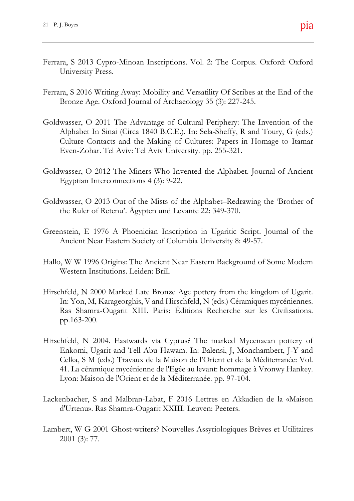- Ferrara, S 2013 Cypro-Minoan Inscriptions. Vol. 2: The Corpus. Oxford: Oxford University Press.
- $\mathbf{f}_{\text{H}}$ Ferrara, S 2016 Writing Away: Mobility and Versatility Of Scribes at the End of the Bronze Age. Oxford Journal of Archaeology 35 (3): 227-245.
- This short report represents the closing comments to the forum covering Brexit, Goldwasser, O 2011 The Advantage of Cultural Periphery: The Invention of the **Keywords:** Archaeology; Brezit; Heritage; Funding; EU; Post-Truthesis, EU; Post-Truthesis, EU; Post-Truthesis, EU Alphabet In Sinai (Circa 1840 B.C.E.). In: Sela-Sheffy, R and Toury, G (eds.) Culture Contacts and the Making of Cultures: Papers in Homage to Itamar Even-Zohar. Tel Aviv: Tel Aviv University. pp. 255-321.
- Goldwasser, O 2012 The Miners Who Invented the Alphabet. Journal of Ancient  $\overline{\phantom{a}}$ Egyptian Interconnections 4 (3): 9-22.
- Goldwasser, O 2013 Out of the Mists of the Alphabet–Redrawing the 'Brother of  $\frac{1}{\alpha}$ the Ruler of Retenu'. Ägypten und Levante 22: 349-370.
- $\mathbf{u}$  salvageable. Since writing the still salvageable. Greenstein, E 1976 A Phoenician Inscription in Ugaritic Script. Journal of the Ancient Near Eastern Society of Columbia University 8: 49-57.
- happened. More and more evidence is cer-Hallo, W W 1996 Origins: The Ancient Near Eastern Background of Some Modern Western Institutions. Leiden: Brill.
- UCL Institute of Archaeology, GB Ras Shamra-Ougarit XIII. Paris: Éditions Recherche sur les Civilisations. Hirschfeld, N 2000 Marked Late Bronze Age pottery from the kingdom of Ugarit. In: Yon, M, Karageorghis, V and Hirschfeld, N (eds.) Céramiques mycéniennes. pp.163-200.
- Hirschfeld, N 2004. Eastwards via Cyprus? The marked Mycenaean pottery of Enkomi, Ugarit and Tell Abu Hawam. In: Balensi, J, Monchambert, J-Y and Celka, S M (eds.) Travaux de la Maison de l'Orient et de la Méditerranée: Vol. 41. La céramique mycénienne de l'Egée au levant: hommage à Vronwy Hankey. Lyon: Maison de l'Orient et de la Méditerranée. pp. 97-104.
- Lackenbacher, S and Malbran-Labat, F 2016 Lettres en Akkadien de la «Maison d'Urtenu». Ras Shamra-Ougarit XXIII. Leuven: Peeters.
- Lambert, W G 2001 Ghost-writers? Nouvelles Assyriologiques Brèves et Utilitaires 2001 (3): 77.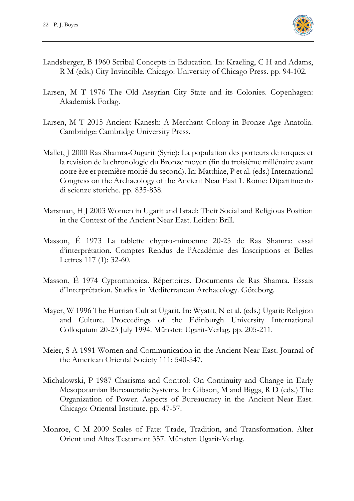

- Landsberger, B 1960 Scribal Concepts in Education. In: Kraeling, C H and Adams, R M (eds.) City Invincible. Chicago: University of Chicago Press. pp. 94-102.
- Larsen, M T 1976 The Old Assyrian City State and its Colonies. Copenhagen: Akademisk Forlag.
- Larsen, M T 2015 Ancient Kanesh: A Merchant Colony in Bronze Age Anatolia. Cambridge: Cambridge University Press.
- Mallet, J 2000 Ras Shamra-Ougarit (Syrie): La population des porteurs de torques et la revision de la chronologie du Bronze moyen (fin du troisième millénaire avant notre ère et première moitié du second). In: Matthiae, P et al. (eds.) International Congress on the Archaeology of the Ancient Near East 1. Rome: Dipartimento di scienze storiche. pp. 835-838.
- Marsman, H J 2003 Women in Ugarit and Israel: Their Social and Religious Position in the Context of the Ancient Near East. Leiden: Brill.
- Masson, É 1973 La tablette chypro-minoenne 20-25 de Ras Shamra: essai d'interprétation. Comptes Rendus de l'Académie des Inscriptions et Belles Lettres 117 (1): 32-60.
- Masson, É 1974 Cyprominoica. Répertoires. Documents de Ras Shamra. Essais d'Interprétation. Studies in Mediterranean Archaeology. Göteborg.
- Mayer, W 1996 The Hurrian Cult at Ugarit. In: Wyattt, N et al. (eds.) Ugarit: Religion and Culture. Proceedings of the Edinburgh University International Colloquium 20-23 July 1994. Münster: Ugarit-Verlag. pp. 205-211.
- Meier, S A 1991 Women and Communication in the Ancient Near East. Journal of the American Oriental Society 111: 540-547.
- Michalowski, P 1987 Charisma and Control: On Continuity and Change in Early Mesopotamian Bureaucratic Systems. In: Gibson, M and Biggs, R D (eds.) The Organization of Power. Aspects of Bureaucracy in the Ancient Near East. Chicago: Oriental Institute. pp. 47-57.
- Monroe, C M 2009 Scales of Fate: Trade, Tradition, and Transformation. Alter Orient und Altes Testament 357. Münster: Ugarit-Verlag.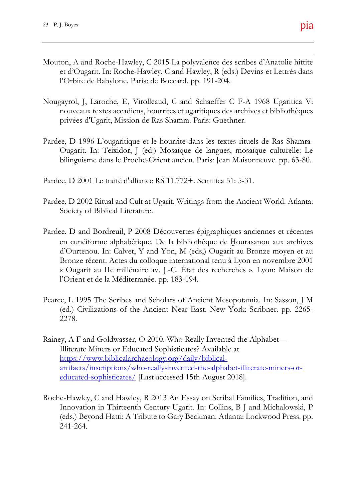- Mouton, A and Roche-Hawley, C 2015 La polyvalence des scribes d'Anatolie hittite  $\mathcal{B}$ et d'Ougarit. In: Roche-Hawley, C and Hawley, R (eds.) Devins et Lettrés dans l'Orbite de Babylone. Paris: de Boccard. pp. 191-204.
- Nougayrol, J, Laroche, E, Virolleaud, C and Schaeffer C F-A 1968 Ugaritica V: This short represents the closing comments the forum comments the forum covering  $B$ nouveaux textes accadiens, hourrites et ugaritiques des archives et bibliothèques privées d'Ugarit, Mission de Ras Shamra. Paris: Guethner.
- **Closing Comment Keywords:** Archaeology; Brezit; Heritage; Funding; EU; Post-Truthesis, EU; Post-Pardee, D 1996 L'ougaritique et le hourrite dans les textes rituels de Ras Shamra-Ougarit. In: Teixidor, J (ed.) Mosaïque de langues, mosaïque culturelle: Le bilinguisme dans le Proche-Orient ancien. Paris: Jean Maisonneuve. pp. 63-80.
- Pardee, D 2001 Le traité d'alliance RS 11.772+. Semitica 51: 5-31.
- Pardee, D 2002 Ritual and Cult at Ugarit, Writings from the Ancient World. Atlanta:  $\ln a$ . Society of Biblical Literature.
- outcome is still salvageable. Since writing the Pardee, D and Bordreuil, P 2008 Découvertes épigraphiques anciennes et récentes en cunéiforme alphabétique. De la bibliothèque de Hourasanou aux archives  $\mathbf{r}$ d'Ourtenou. In: Calvet, Y and Yon, M (eds,) Ougarit au Bronze moyen et au Bronze récent. Actes du colloque international tenu à Lyon en novembre 2001  $\frac{1}{1001}$ « Ougarit au IIe millénaire av. J.-C. État des recherches ». Lyon: Maison de l'Orient et de la Méditerranée. pp. 183-194.
- UCL Institute of Archaeology, GB (ed.) Civilizations of the Ancient Near East. New York: Scribner. pp. 2265-Pearce, L 1995 The Scribes and Scholars of Ancient Mesopotamia. In: Sasson, J M 2278.
- Rainey, A F and Goldwasser, O 2010. Who Really Invented the Alphabet— Illiterate Miners or Educated Sophisticates? Available at https://www.biblicalarchaeology.org/daily/biblicalartifacts/inscriptions/who-really-invented-the-alphabet-illiterate-miners-oreducated-sophisticates/ [Last accessed 15th August 2018].
- Roche-Hawley, C and Hawley, R 2013 An Essay on Scribal Families, Tradition, and Innovation in Thirteenth Century Ugarit. In: Collins, B J and Michalowski, P (eds.) Beyond Hatti: A Tribute to Gary Beckman. Atlanta: Lockwood Press. pp. 241-264.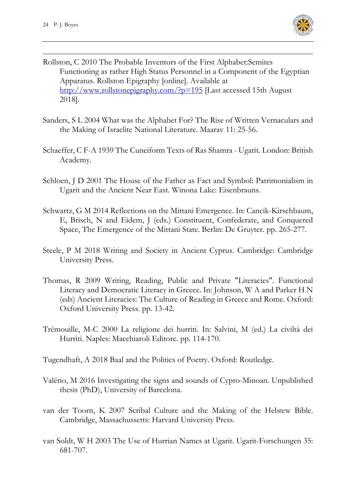

- Rollston, C 2010 The Probable Inventors of the First Alphabet:Semites Functioning as rather High Status Personnel in a Component of the Egyptian Apparatus. Rollston Epigraphy [online]. Available at http://www.rollstonepigraphy.com/?p=195 [Last accessed 15th August 2018].
- Sanders, S L 2004 What was the Alphabet For? The Rise of Written Vernaculars and the Making of Israelite National Literature. Maarav 11: 25-56.
- Schaeffer, C F-A 1939 The Cuneiform Texts of Ras Shamra Ugarit. London: British Academy.
- Schloen, J D 2001 The House of the Father as Fact and Symbol: Patrimonialism in Ugarit and the Ancient Near East. Winona Lake: Eisenbrauns.
- Schwartz, G M 2014 Reflections on the Mittani Emergence. In: Cancik-Kirschbaum, E, Brisch, N and Eidem, J (eds.) Constituent, Confederate, and Conquered Space, The Emergence of the Mittani State. Berlin: De Gruyter. pp. 265-277.
- Steele, P M 2018 Writing and Society in Ancient Cyprus. Cambridge: Cambridge University Press.
- Thomas, R 2009 Writing, Reading, Public and Private "Literacies". Functional Literacy and Democratic Literacy in Greece. In: Johnson, W A and Parker H N (eds) Ancient Literacies: The Culture of Reading in Greece and Rome. Oxford: Oxford University Press. pp. 13-42.
- Trémouille, M-C 2000 La religione dei hurriti. In: Salvini, M (ed.) La civiltà dei Hurriti. Naples: Macchiaroli Editore. pp. 114-170.

Tugendhaft, A 2018 Baal and the Politics of Poetry. Oxford: Routledge.

- Valério, M 2016 Investigating the signs and sounds of Cypro-Minoan. Unpublished thesis (PhD), University of Barcelona.
- van der Toorn, K 2007 Scribal Culture and the Making of the Hebrew Bible. Cambridge, Massachussetts: Harvard University Press.
- van Soldt, W H 2003 The Use of Hurrian Names at Ugarit. Ugarit-Forschungen 35: 681-707.